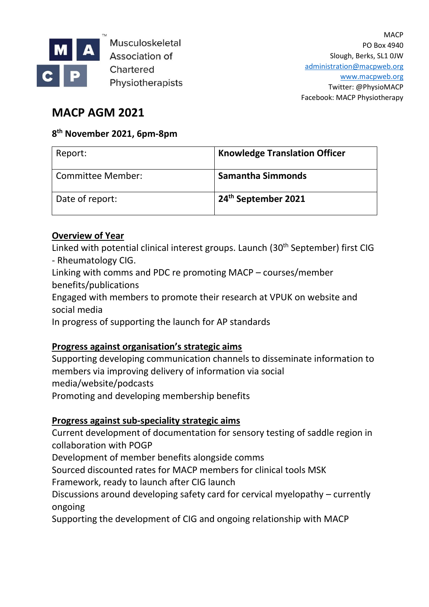

Musculoskeletal **Association of** Chartered Physiotherapists

# **MACP AGM 2021**

## **8 th November 2021, 6pm-8pm**

| Report:           | <b>Knowledge Translation Officer</b> |
|-------------------|--------------------------------------|
| Committee Member: | <b>Samantha Simmonds</b>             |
| Date of report:   | 24 <sup>th</sup> September 2021      |

## **Overview of Year**

Linked with potential clinical interest groups. Launch (30<sup>th</sup> September) first CIG - Rheumatology CIG.

Linking with comms and PDC re promoting MACP – courses/member benefits/publications

Engaged with members to promote their research at VPUK on website and social media

In progress of supporting the launch for AP standards

### **Progress against organisation's strategic aims**

Supporting developing communication channels to disseminate information to members via improving delivery of information via social media/website/podcasts Promoting and developing membership benefits

### **Progress against sub-speciality strategic aims**

Current development of documentation for sensory testing of saddle region in collaboration with POGP

Development of member benefits alongside comms

Sourced discounted rates for MACP members for clinical tools MSK

Framework, ready to launch after CIG launch

Discussions around developing safety card for cervical myelopathy – currently ongoing

Supporting the development of CIG and ongoing relationship with MACP